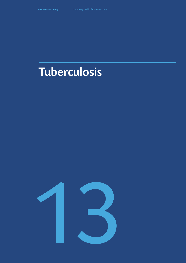# Tuberculosis

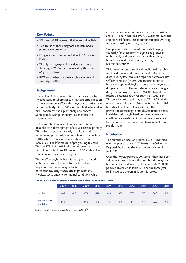### **Key Points**

- 318 cases of TB were notified in Ireland in 2016
- Two thirds of those diagnosed in 2016 had a pulmonary component
- Drug resistance was reported in 13.5% of cases in 2016
- The highest age specific incidence rate was in those aged 25-34 years followed by those aged 65 years and over
- BCG vaccine has not been available in Ireland since April 2015

### **Background**

Tuberculosis (TB) is an infectious disease caused by Mycobacterium tuberculosis. It is an airborne infection so most commonly affects the lungs but can affect any part of the body. Of the 318 cases notified in Ireland in 2016, two thirds had a pulmonary component*<sup>1</sup>* . Some people with pulmonary TB can infect their close contacts.

Following infection, one of two clinical outcomes is possible: early development of active disease ('primary TB'), which occurs particularly in children and immunocompromised patients or latent TB infection (LTBI), which occurs in the majority of infected individuals. The lifetime risk of progressing to active TB from LTBI is 5–10% in the immunocompetent*<sup>2</sup>* . A patient with infectious TB can infect 10-15 other close contacts over the course of a year*<sup>3</sup>* .

TB can affect anybody but it is strongly associated with social determinants of health, including migration, and social marginalisation such as homelessness, drug misuse and imprisonment. Medical, social and environmental conditions which

impair the immune system also increase the risk of active TB. These include HIV/AIDS, diabetes mellitus, chronic renal failure, use of immunosuppressive drugs, tobacco smoking and malignancy*<sup>2</sup>* .

Compliance with treatment can be challenging, especially for those from marginalised groups in society and/or those with issues with alcohol, homelessness, drug addiction, or drug resistant infections.

TB is an important clinical and public health problem worldwide. In Ireland it is a notifiable infectious disease i.e. by law it must be reported to the Medical Officer of Health (MOH). An important public health and epidemiological issue is the emergence of drug-resistant TB. This includes resistance to single drugs, multi drug resistant TB (MDR-TB) and more recently, extensive drug-resistant TB (XDR-TB)*<sup>2</sup>* . The only licensed vaccine against TB is BCG which is an attenuated strain of Mycobacterium bovis (M. bovis bacilli Calmette-Guérin)*<sup>2</sup>* . It is effective in the prevention of meningitis and disseminated disease in children. Although listed on the schedule for childhood vaccinations, it has not been available in Ireland for over three years due to manufacturing supply issues.

#### **Incidence**

The number of cases of Tuberculosis (TB) notified over the past decade (2007-2016) to MOH in the Regional Public Health departments is shown in table 13.1.

Over the 10 year period (2007-2016) there has been a downward trend in notifications but this may now be levelling as evidenced by the crude rate/100,000 population shown in table 13.1 and the three year rolling average shown in figure 13.1 below.

| <u>1801 - 1911, 1911 INCHINACIONS NUMBER AND NACE TO JUDITED 2007</u> |  |  |  |
|-----------------------------------------------------------------------|--|--|--|
|                                                                       |  |  |  |

**Table 13.1. TB notifications Number and Rate/100,000 2007-2016**

|                            | 2007 | 2008 | 2009 | 2010 | 2011 | 2012 | 2013 | 2014 | 2015 | 2016 |
|----------------------------|------|------|------|------|------|------|------|------|------|------|
| <b>Numbers</b>             | 481  | 467  | 479  | 420  | 413  | 359  | 372  | 313  | 303  | 318  |
| Rate/100,000<br>population | 10.9 | 11   | 10.4 | 9.2  | 9    | 7.8  | 8.1  | 6.8  | 6.6  | 6.9  |

*Source: Health Protection Surveillance Centre (HPSC)1,4*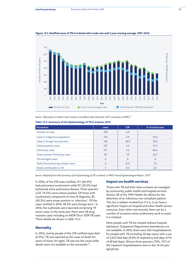

**Figure 13.1. Notified cases of TB in Ireland with crude rate and 3 year moving average 1991-2016**

*Source: Tuberculosis in Ireland: latest trends in surveillance data December 2017 (www.hpsc.ie HPSC) 5*

|  | Table 13.2. Summary of the Epidemiology of TB in Ireland, 2016 |  |
|--|----------------------------------------------------------------|--|
|--|----------------------------------------------------------------|--|

| Parameter                            | cases        | <b>CIR</b> | % of total cases |
|--------------------------------------|--------------|------------|------------------|
| Number of cases                      | 318          | 6.9        |                  |
| Cases in indigenous population       | 145          | 3.9        | 45.6             |
| Cases in foreign-born persons        | 160          | 20.9       | 50.3             |
| Culture positive cases               | 237          | 5.2        | 74.5             |
| <b>Pulmonary cases</b>               | 211          | 4.6        | 66.4             |
| Smear positive Pulmonary cases       | 85           | 1.9        | 26.7             |
| TB meningitis cases                  | $\mathbf{0}$ | $\Omega$   | $\Omega$         |
| Multi/Extensive drug resistant cases | 6            | 0.13       | 1.9              |
| Deaths attributable to TB            | 7            | 0.2        | 2.2              |

*Source: Adapted from table Summary of the Epidemiology of TB in Ireland, in HPSC Annual Epidemiological Report. 20171*

In 2016, of the 318 cases notified, 211 (66.4%) had pulmonary involvement while 97 (30.5%) had exclusively extra-pulmonary disease. Three quarters (237, 74.5%) were culture positive. Of those with a pulmonary component at time of diagnosis, 85 (40.3%) were smear positive i.e. infectious*<sup>1</sup>* . Of the cases notified in 2016, 49.2% were foreign born*<sup>1</sup>* . In 2016, five outbreaks were reported comprising 19 active cases. In the same year there were 28 drug resistant cases including six MDR-TB or XDR-TB cases. These details are shown in table 13.2*<sup>1</sup>* .

### **Mortality**

In 2016, twenty people of the 318 notified cases died (6.3%). TB was reported as the cause of death for seven of these, for eight, TB was not the cause while details were not available on the remainder<sup>1,6</sup>.

#### **Impact on health services**

Those with TB and their close contacts are managed by community, public health and hospital services. Section 38 of the 1947 Health Act allows for the detention of an infectious non-compliant patient. This Act is seldom invoked but if it is, it can have a significant impact on hospital and other health service resources. Even when not enacted, there can be a number of occasions when preliminary work to enact it is initiated.

Most people with TB are treated without hospital admission. Outpatient Department attendances are not available. In 2016, there were 262 hospitalisations for people with TB (including 50 day cases) with a use of 3,622 bed days (0.6% of respiratory bed days, 0.1% of all bed days). Almost three quarters (74%, 157) of the inpatient hospitalisations were in the 16-64 year age group.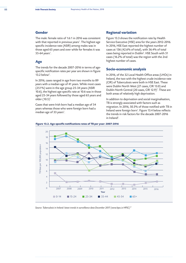## **Gender**

The male: female ratio of 1.6:1 in 2016 was consistent with that reported in previous years*<sup>1</sup>* . The highest age specific incidence rate (ASIR) among males was in those aged 65 years and over while for females it was 55-64 years*<sup>1</sup>* .

## **Age**

The trends for the decade 2007-2016 in terms of agespecific notification rates per year are shown in figure 13.2 below*<sup>5</sup>* .

In 2016, cases ranged in age from two months to 89 years with a median age of 41 years. While most cases (25.1%) were in the age group 25-34 years (ASIR 10.6), the highest age specific rate at 10.6 was in those aged 25-34 years followed by those aged 65 years and older (10.5)*<sup>1</sup>* .

Cases that were Irish born had a median age of 54 years whereas those who were foreign born had a median age of 33 years*<sup>1</sup>* .

## **Regional variation**

Figure 13.3 shows the notification rate by Health Service Executive (HSE) area for the years 2012-2016. In 2016, HSE East reported the highest number of cases at 136 (42.6% of total), with 36.4% of total cases being reported in Dublin*<sup>5</sup>* . HSE South with 51 cases (16.2% of total) was the region with the 2nd highest number of cases.

## **Socio-economic analysis**

In 2016, of the 32 Local Health Office areas (LHOs) in Ireland, the two with the highest crude incidence rate (CIR) of Tuberculosis were both in HSE East. These were Dublin North West (27 cases, CIR 13.0) and Dublin North Central (20 cases, CIR 12.9)*<sup>7</sup>* . These are both areas of relatively high deprivation.

In addition to deprivation and social marginalisation, TB is strongly associated with factors such as migration. In 2016, 50.3% of those notified with TB in Ireland were foreign born*<sup>1</sup>* . Figure 13.4 below reflects the trends in risk factors for the decade 2007-2016 in Ireland*<sup>5</sup>* .





*Source: Tuberculosis in Ireland: latest trends in surveillance data December 2017 (www.hpsc.ie HPSC) 5*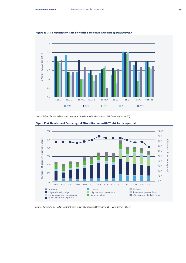

**Figure 13.3. TB Notification Rate by Health Service Executive (HSE) area and year**

*Source: Tuberculosis in Ireland: latest trends in surveillance data December 2017 (www.hpsc.ie HPSC) 5*





*Source: Tuberculosis in Ireland: latest trends in surveillance data December 2017 (www.hpsc.ie HPSC) 5*